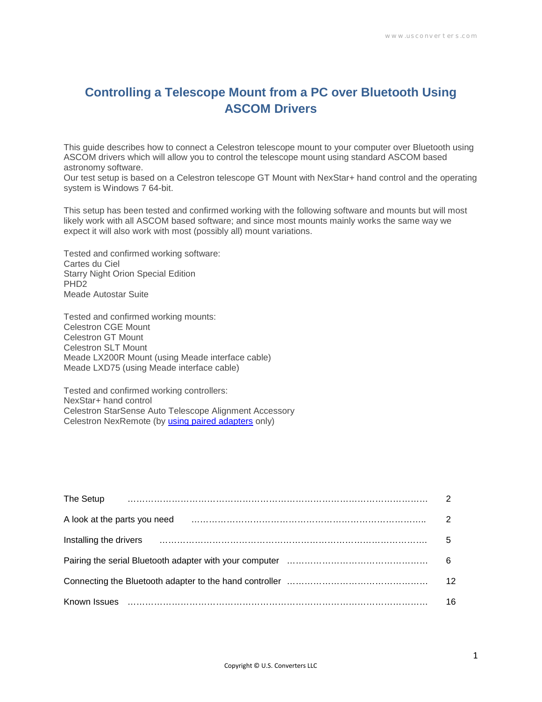# **Controlling a Telescope Mount from a PC over Bluetooth Using ASCOM Drivers**

This guide describes how to connect a Celestron telescope mount to your computer over Bluetooth using ASCOM drivers which will allow you to control the telescope mount using standard ASCOM based astronomy software.

Our test setup is based on a Celestron telescope GT Mount with NexStar+ hand control and the operating system is Windows 7 64-bit.

This setup has been tested and confirmed working with the following software and mounts but will most likely work with all ASCOM based software; and since most mounts mainly works the same way we expect it will also work with most (possibly all) mount variations.

Tested and confirmed working software: Cartes du Ciel Starry Night Orion Special Edition PHD2 Meade Autostar Suite

Tested and confirmed working mounts: Celestron CGE Mount Celestron GT Mount Celestron SLT Mount Meade LX200R Mount (using Meade interface cable) Meade LXD75 (using Meade interface cable)

Tested and confirmed working controllers: NexStar+ hand control Celestron StarSense Auto Telescope Alignment Accessory Celestron NexRemote (by [using paired adapters](http://www.usconverters.com/controlling-celestron-telescope-bluetooth-nexremote-ascom) only)

| The Setup              |    |
|------------------------|----|
|                        |    |
| Installing the drivers | 5  |
|                        | 6  |
|                        | 12 |
| Known Issues           | 16 |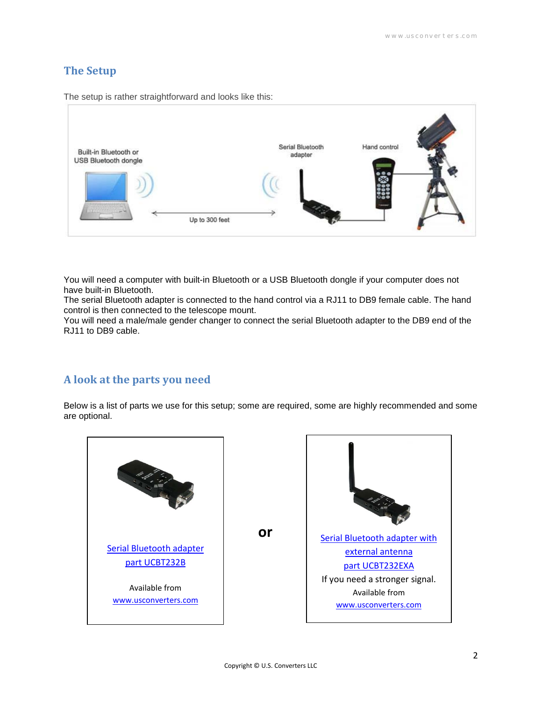## **The Setup**

The setup is rather straightforward and looks like this:



You will need a computer with built-in Bluetooth or a USB Bluetooth dongle if your computer does not have built-in Bluetooth.

The serial Bluetooth adapter is connected to the hand control via a RJ11 to DB9 female cable. The hand control is then connected to the telescope mount.

You will need a male/male gender changer to connect the serial Bluetooth adapter to the DB9 end of the RJ11 to DB9 cable.

## **A look at the parts you need**

Below is a list of parts we use for this setup; some are required, some are highly recommended and some are optional.

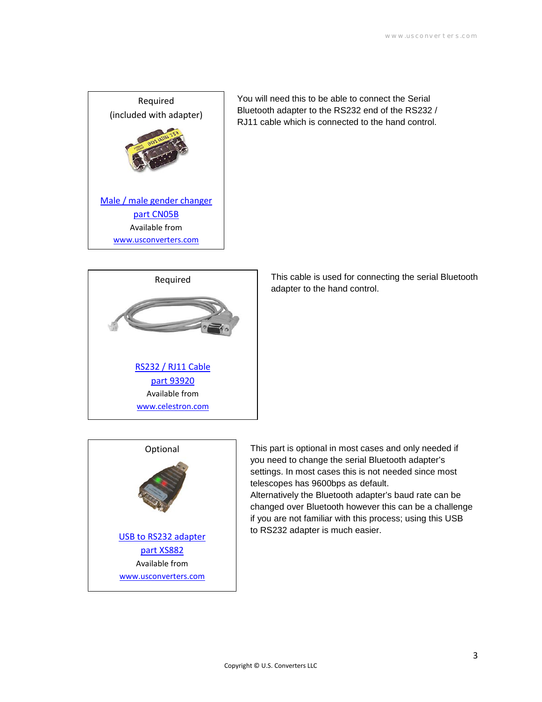

You will need this to be able to connect the Serial Bluetooth adapter to the RS232 end of the RS232 / RJ11 cable which is connected to the hand control.



This cable is used for connecting the serial Bluetooth adapter to the hand control.



This part is optional in most cases and only needed if you need to change the serial Bluetooth adapter's settings. In most cases this is not needed since most telescopes has 9600bps as default.

Alternatively the Bluetooth adapter's baud rate can be changed over Bluetooth however this can be a challenge if you are not familiar with this process; using this USB to RS232 adapter is much easier.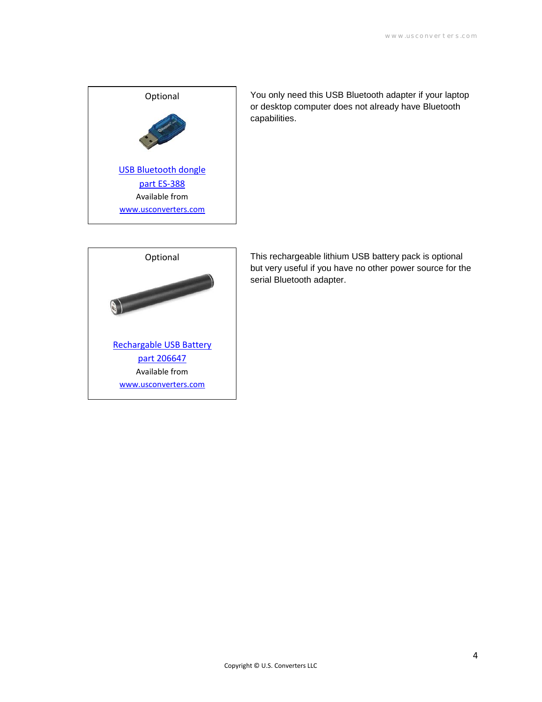

You only need this USB Bluetooth adapter if your laptop or desktop computer does not already have Bluetooth capabilities.



This rechargeable lithium USB battery pack is optional but very useful if you have no other power source for the serial Bluetooth adapter.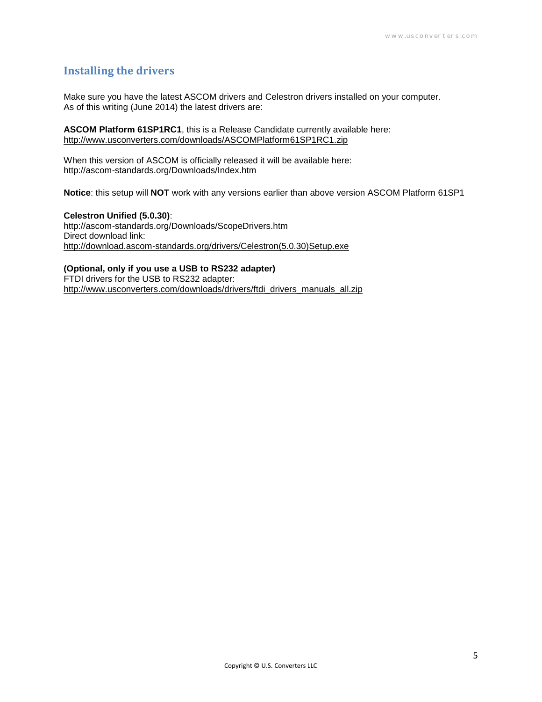#### **Installing the drivers**

Make sure you have the latest ASCOM drivers and Celestron drivers installed on your computer. As of this writing (June 2014) the latest drivers are:

**ASCOM Platform 61SP1RC1**, this is a Release Candidate currently available here: <http://www.usconverters.com/downloads/ASCOMPlatform61SP1RC1.zip>

When this version of ASCOM is officially released it will be available here: http://ascom-standards.org/Downloads/Index.htm

**Notice**: this setup will **NOT** work with any versions earlier than above version ASCOM Platform 61SP1

**Celestron Unified (5.0.30)**: http://ascom-standards.org/Downloads/ScopeDrivers.htm Direct download link: [http://download.ascom-standards.org/drivers/Celestron\(5.0.30\)Setup.exe](http://download.ascom-standards.org/drivers/Celestron(5.0.30)Setup.exe)

#### **(Optional, only if you use a USB to RS232 adapter)**

FTDI drivers for the USB to RS232 adapter: [http://www.usconverters.com/downloads/drivers/ftdi\\_drivers\\_manuals\\_all.zip](http://www.usconverters.com/downloads/drivers/ftdi_drivers_manuals_all.zip)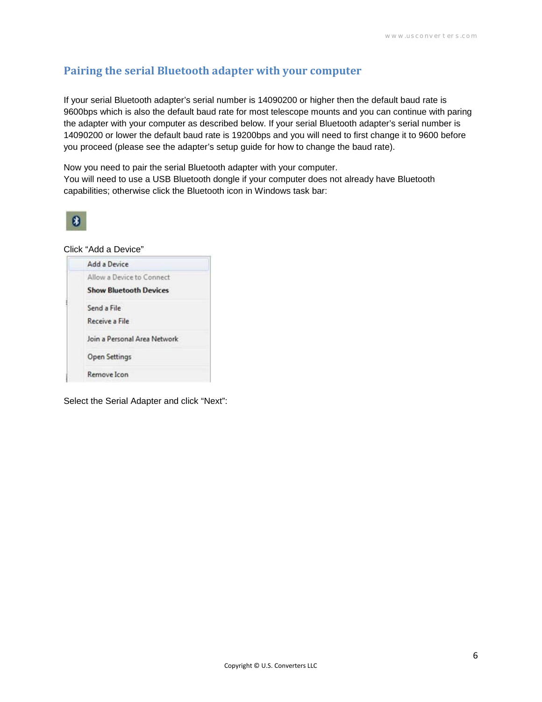# **Pairing the serial Bluetooth adapter with your computer**

If your serial Bluetooth adapter's serial number is 14090200 or higher then the default baud rate is 9600bps which is also the default baud rate for most telescope mounts and you can continue with paring the adapter with your computer as described below. If your serial Bluetooth adapter's serial number is 14090200 or lower the default baud rate is 19200bps and you will need to first change it to 9600 before you proceed (please see the adapter's setup guide for how to change the baud rate).

Now you need to pair the serial Bluetooth adapter with your computer. You will need to use a USB Bluetooth dongle if your computer does not already have Bluetooth capabilities; otherwise click the Bluetooth icon in Windows task bar:



#### Click "Add a Device"

| Add a Device                  |
|-------------------------------|
| Allow a Device to Connect     |
| <b>Show Bluetooth Devices</b> |
| Send a File                   |
| Receive a File                |
| Join a Personal Area Network  |
| <b>Open Settings</b>          |
| Remove Icon                   |

Select the Serial Adapter and click "Next":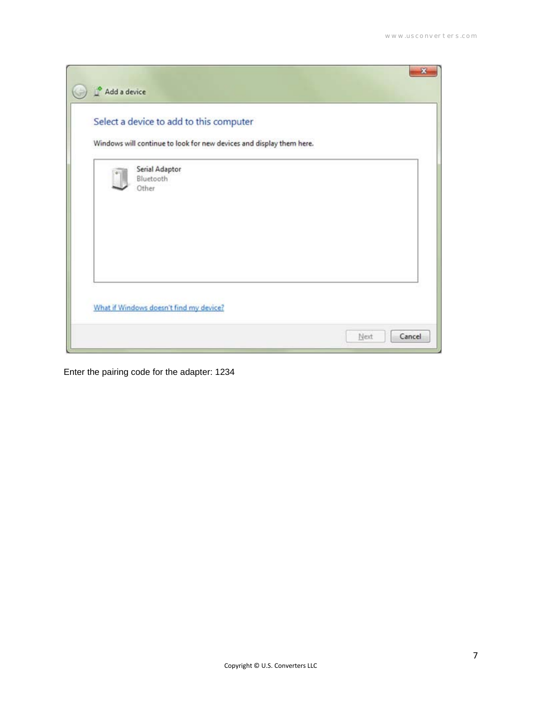| Add a device |                                                                                                                 |      |        |
|--------------|-----------------------------------------------------------------------------------------------------------------|------|--------|
|              | Select a device to add to this computer<br>Windows will continue to look for new devices and display them here. |      |        |
|              | Serial Adaptor<br>Bluetooth<br>Other                                                                            |      |        |
|              | What if Windows doesn't find my device?                                                                         | Next | Cancel |

Enter the pairing code for the adapter: 1234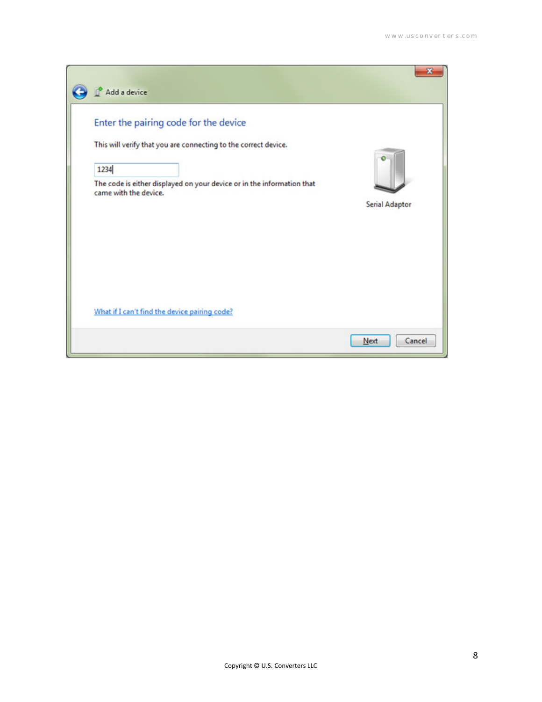| Add a device                                                                                                                                                                                                        |                       |
|---------------------------------------------------------------------------------------------------------------------------------------------------------------------------------------------------------------------|-----------------------|
| Enter the pairing code for the device<br>This will verify that you are connecting to the correct device.<br>1234<br>The code is either displayed on your device or in the information that<br>came with the device. | <b>Serial Adaptor</b> |
| What if I can't find the device pairing code?                                                                                                                                                                       |                       |
|                                                                                                                                                                                                                     | Cancel<br>Next        |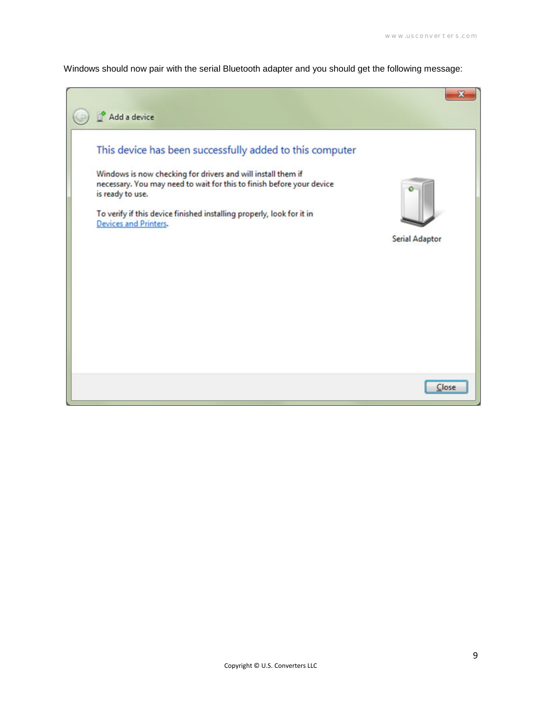Windows should now pair with the serial Bluetooth adapter and you should get the following message:

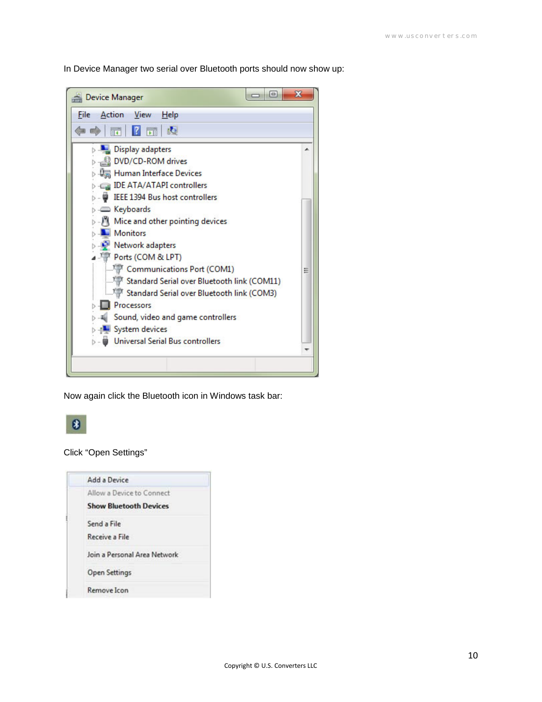In Device Manager two serial over Bluetooth ports should now show up:

| $\Box$<br><b>Device Manager</b>             | х |
|---------------------------------------------|---|
| Action View<br>File<br>Help                 |   |
| 請<br>同<br>ıо                                |   |
| Display adapters                            |   |
| DVD/CD-ROM drives                           |   |
| Human Interface Devices                     |   |
| <b>IDE ATA/ATAPI controllers</b>            |   |
| IEEE 1394 Bus host controllers              |   |
| <b>Exploands</b>                            |   |
| Mice and other pointing devices             |   |
| <b>Monitors</b>                             |   |
| Network adapters                            |   |
| <b>Ports (COM &amp; LPT)</b>                |   |
| Communications Port (COM1)                  |   |
| Standard Serial over Bluetooth link (COM11) |   |
| Standard Serial over Bluetooth link (COM3)  |   |
| <b>Processors</b>                           |   |
| Sound, video and game controllers           |   |
| <b>D</b> July System devices                |   |
| <b>Universal Serial Bus controllers</b>     |   |
|                                             |   |

Now again click the Bluetooth icon in Windows task bar:



Click "Open Settings"

| Add a Device                  |
|-------------------------------|
| Allow a Device to Connect     |
| <b>Show Bluetooth Devices</b> |
| Send a File                   |
| Receive a File                |
| Join a Personal Area Network  |
| Open Settings                 |
| Remove Icon                   |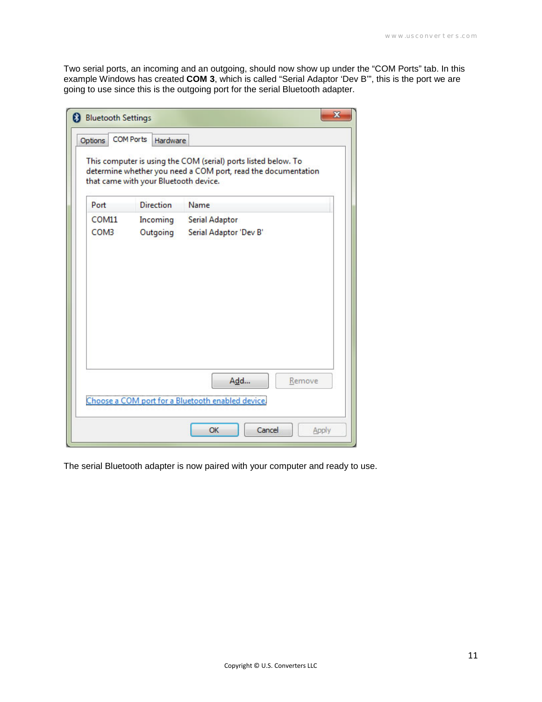Two serial ports, an incoming and an outgoing, should now show up under the "COM Ports" tab. In this example Windows has created **COM 3**, which is called "Serial Adaptor 'Dev B'", this is the port we are going to use since this is the outgoing port for the serial Bluetooth adapter.

| This computer is using the COM (serial) ports listed below. To<br>determine whether you need a COM port, read the documentation<br>that came with your Bluetooth device. |
|--------------------------------------------------------------------------------------------------------------------------------------------------------------------------|
| Name                                                                                                                                                                     |
| <b>Serial Adaptor</b>                                                                                                                                                    |
| Outgoing<br>Serial Adaptor 'Dev B'                                                                                                                                       |
|                                                                                                                                                                          |
| Add<br>Remove                                                                                                                                                            |
| Choose a COM port for a Bluetooth enabled device.                                                                                                                        |
| <b>Direction</b><br>Incoming                                                                                                                                             |

The serial Bluetooth adapter is now paired with your computer and ready to use.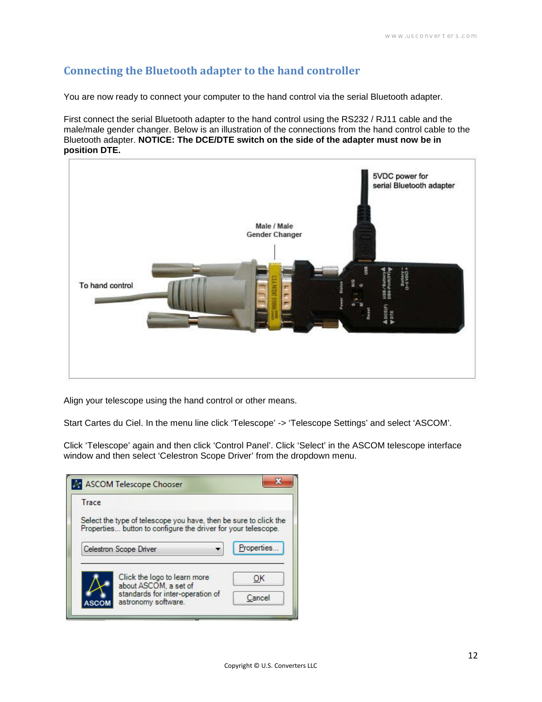# **Connecting the Bluetooth adapter to the hand controller**

You are now ready to connect your computer to the hand control via the serial Bluetooth adapter.

First connect the serial Bluetooth adapter to the hand control using the RS232 / RJ11 cable and the male/male gender changer. Below is an illustration of the connections from the hand control cable to the Bluetooth adapter. **NOTICE: The DCE/DTE switch on the side of the adapter must now be in position DTE.**



Align your telescope using the hand control or other means.

Start Cartes du Ciel. In the menu line click 'Telescope' -> 'Telescope Settings' and select 'ASCOM'.

Click 'Telescope' again and then click 'Control Panel'. Click 'Select' in the ASCOM telescope interface window and then select 'Celestron Scope Driver' from the dropdown menu.

| Trace |                                                                                                                                   |             |
|-------|-----------------------------------------------------------------------------------------------------------------------------------|-------------|
|       | Select the type of telescope you have, then be sure to click the<br>Properties button to configure the driver for your telescope. |             |
|       |                                                                                                                                   |             |
|       | Celestron Scope Driver                                                                                                            | Properties. |
|       | Click the logo to learn more<br>about ASCOM, a set of                                                                             | ОΚ          |
|       | standards for inter-operation of                                                                                                  |             |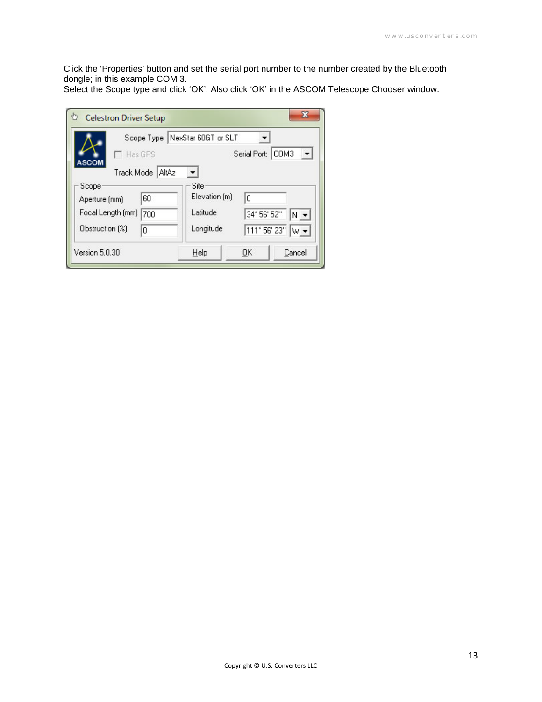Click the 'Properties' button and set the serial port number to the number created by the Bluetooth dongle; in this example COM 3.

Select the Scope type and click 'OK'. Also click 'OK' in the ASCOM Telescope Chooser window.

| <b>Celestron Driver Setup</b> |                                |              |                               |
|-------------------------------|--------------------------------|--------------|-------------------------------|
|                               | Scope Type NexStar 60GT or SLT |              |                               |
| Has GPS<br><b>ASCOM</b>       |                                | Serial Port: | $\blacktriangledown$<br>ICOM3 |
| AItAz<br>Track Mode           |                                |              |                               |
| Scope                         | Site<br>Elevation [m]          |              |                               |
| 60<br>Aperture [mm]           | Latitude                       | 'n           |                               |
| Focal Length (mm)<br>700      |                                | 34° 56' 52"  | $N -$                         |
| Obstruction [%]<br>0          | Longitude                      | 111° 56' 23" | $\mathsf{w}\star$             |
| Version 5.0.30                | $He$ lp                        | ŪΚ           | Cancel                        |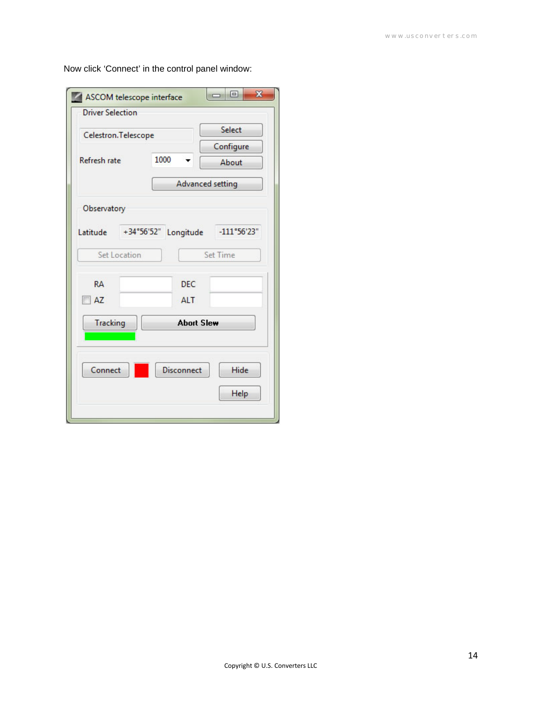| <b>Driver Selection</b> |                                  |                         |
|-------------------------|----------------------------------|-------------------------|
| Celestron. Telescope    |                                  | Select                  |
|                         |                                  | Configure               |
| Refresh rate            | 1000                             | About                   |
|                         |                                  | <b>Advanced setting</b> |
| Observatory             |                                  |                         |
| Latitude                | $+34^{\circ}56'52"$<br>Longitude | $-111°56'23"$           |
| Set Location            |                                  | Set Time                |
| <b>RA</b>               | <b>DEC</b>                       |                         |
| AZ                      | <b>ALT</b>                       |                         |
| <b>Tracking</b>         | <b>Abort Slew</b>                |                         |
|                         |                                  |                         |
|                         |                                  |                         |
| Connect                 | <b>Disconnect</b>                | Hide                    |
|                         |                                  |                         |

Now click 'Connect' in the control panel window: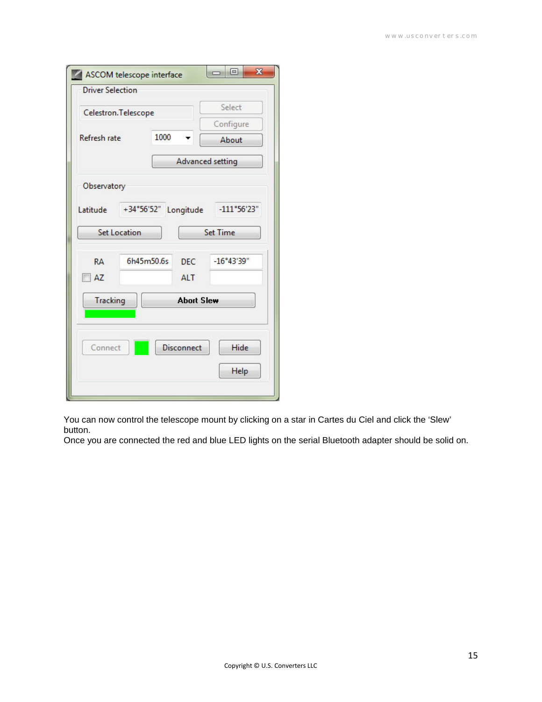| <b>Driver Selection</b> |                     |                   | Select                  |
|-------------------------|---------------------|-------------------|-------------------------|
| Celestron. Telescope    |                     |                   |                         |
|                         | 1000                |                   | Configure               |
| Refresh rate            |                     |                   | About                   |
|                         |                     |                   | <b>Advanced setting</b> |
| Observatory             |                     |                   |                         |
|                         |                     |                   |                         |
| Latitude                | $+34^{\circ}56'52"$ | Longitude         | $-111°56'23"$           |
| <b>Set Location</b>     |                     |                   | <b>Set Time</b>         |
| <b>RA</b>               | 6h45m50.6s          | DFC.              | $-16°43'39"$            |
| AZ                      |                     |                   |                         |
|                         |                     | <b>ALT</b>        |                         |
| <b>Tracking</b>         |                     | <b>Abort Slew</b> |                         |
|                         |                     |                   |                         |
|                         |                     |                   |                         |
|                         |                     | <b>Disconnect</b> | Hide                    |
| Connect                 |                     |                   |                         |

You can now control the telescope mount by clicking on a star in Cartes du Ciel and click the 'Slew' button.

Once you are connected the red and blue LED lights on the serial Bluetooth adapter should be solid on.